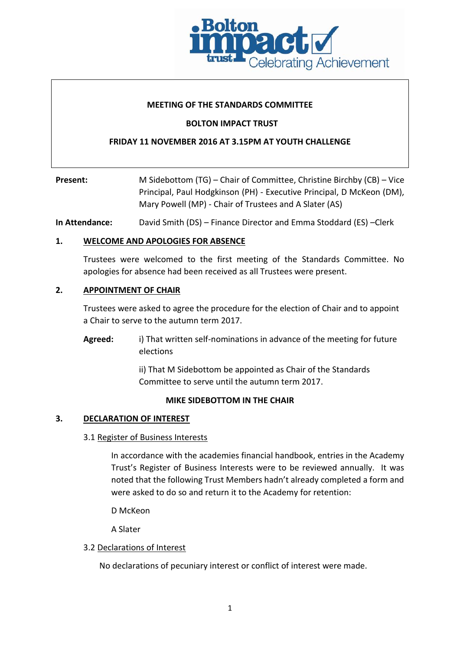

## **MEETING OF THE STANDARDS COMMITTEE**

## **BOLTON IMPACT TRUST**

# **FRIDAY 11 NOVEMBER 2016 AT 3.15PM AT YOUTH CHALLENGE**

**Present:** M Sidebottom (TG) – Chair of Committee, Christine Birchby (CB) – Vice Principal, Paul Hodgkinson (PH) - Executive Principal, D McKeon (DM), Mary Powell (MP) - Chair of Trustees and A Slater (AS)

**In Attendance:** David Smith (DS) – Finance Director and Emma Stoddard (ES) –Clerk

## **1. WELCOME AND APOLOGIES FOR ABSENCE**

Trustees were welcomed to the first meeting of the Standards Committee. No apologies for absence had been received as all Trustees were present.

## **2. APPOINTMENT OF CHAIR**

Trustees were asked to agree the procedure for the election of Chair and to appoint a Chair to serve to the autumn term 2017.

**Agreed:** i) That written self-nominations in advance of the meeting for future elections

> ii) That M Sidebottom be appointed as Chair of the Standards Committee to serve until the autumn term 2017.

## **MIKE SIDEBOTTOM IN THE CHAIR**

## **3. DECLARATION OF INTEREST**

## 3.1 Register of Business Interests

In accordance with the academies financial handbook, entries in the Academy Trust's Register of Business Interests were to be reviewed annually. It was noted that the following Trust Members hadn't already completed a form and were asked to do so and return it to the Academy for retention:

D McKeon

A Slater

## 3.2 Declarations of Interest

No declarations of pecuniary interest or conflict of interest were made.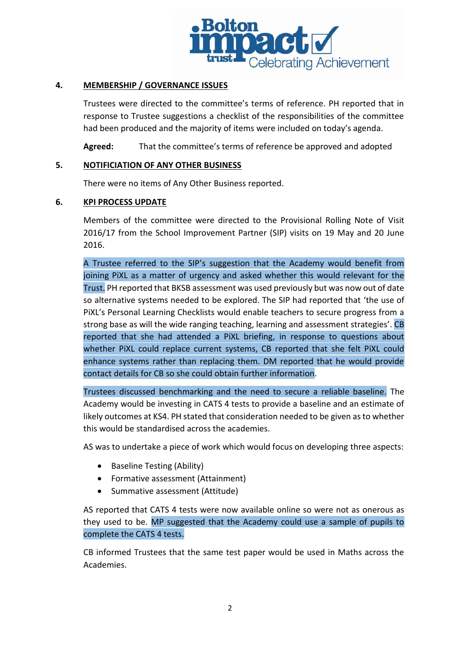

# **4. MEMBERSHIP / GOVERNANCE ISSUES**

Trustees were directed to the committee's terms of reference. PH reported that in response to Trustee suggestions a checklist of the responsibilities of the committee had been produced and the majority of items were included on today's agenda.

**Agreed:** That the committee's terms of reference be approved and adopted

## **5. NOTIFICIATION OF ANY OTHER BUSINESS**

There were no items of Any Other Business reported.

## **6. KPI PROCESS UPDATE**

Members of the committee were directed to the Provisional Rolling Note of Visit 2016/17 from the School Improvement Partner (SIP) visits on 19 May and 20 June 2016.

A Trustee referred to the SIP's suggestion that the Academy would benefit from joining PiXL as a matter of urgency and asked whether this would relevant for the Trust. PH reported that BKSB assessment was used previously but was now out of date so alternative systems needed to be explored. The SIP had reported that 'the use of PiXL's Personal Learning Checklists would enable teachers to secure progress from a strong base as will the wide ranging teaching, learning and assessment strategies'. CB reported that she had attended a PiXL briefing, in response to questions about whether PiXL could replace current systems, CB reported that she felt PiXL could enhance systems rather than replacing them. DM reported that he would provide contact details for CB so she could obtain further information.

Trustees discussed benchmarking and the need to secure a reliable baseline. The Academy would be investing in CATS 4 tests to provide a baseline and an estimate of likely outcomes at KS4. PH stated that consideration needed to be given as to whether this would be standardised across the academies.

AS was to undertake a piece of work which would focus on developing three aspects:

- Baseline Testing (Ability)
- Formative assessment (Attainment)
- Summative assessment (Attitude)

AS reported that CATS 4 tests were now available online so were not as onerous as they used to be. MP suggested that the Academy could use a sample of pupils to complete the CATS 4 tests.

CB informed Trustees that the same test paper would be used in Maths across the Academies.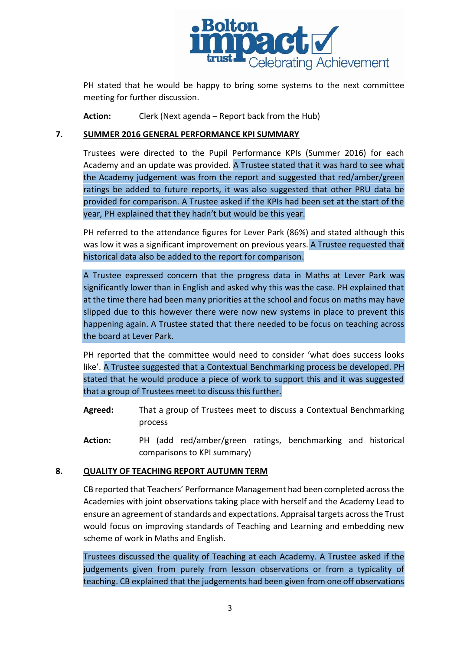

PH stated that he would be happy to bring some systems to the next committee meeting for further discussion.

**Action:** Clerk (Next agenda – Report back from the Hub)

## **7. SUMMER 2016 GENERAL PERFORMANCE KPI SUMMARY**

Trustees were directed to the Pupil Performance KPIs (Summer 2016) for each Academy and an update was provided. A Trustee stated that it was hard to see what the Academy judgement was from the report and suggested that red/amber/green ratings be added to future reports, it was also suggested that other PRU data be provided for comparison. A Trustee asked if the KPIs had been set at the start of the year, PH explained that they hadn't but would be this year.

PH referred to the attendance figures for Lever Park (86%) and stated although this was low it was a significant improvement on previous years. A Trustee requested that historical data also be added to the report for comparison.

A Trustee expressed concern that the progress data in Maths at Lever Park was significantly lower than in English and asked why this was the case. PH explained that at the time there had been many priorities at the school and focus on maths may have slipped due to this however there were now new systems in place to prevent this happening again. A Trustee stated that there needed to be focus on teaching across the board at Lever Park.

PH reported that the committee would need to consider 'what does success looks like'. A Trustee suggested that a Contextual Benchmarking process be developed. PH stated that he would produce a piece of work to support this and it was suggested that a group of Trustees meet to discuss this further.

- **Agreed:** That a group of Trustees meet to discuss a Contextual Benchmarking process
- **Action:** PH (add red/amber/green ratings, benchmarking and historical comparisons to KPI summary)

## **8. QUALITY OF TEACHING REPORT AUTUMN TERM**

CB reported that Teachers' Performance Management had been completed across the Academies with joint observations taking place with herself and the Academy Lead to ensure an agreement of standards and expectations. Appraisal targets across the Trust would focus on improving standards of Teaching and Learning and embedding new scheme of work in Maths and English.

Trustees discussed the quality of Teaching at each Academy. A Trustee asked if the judgements given from purely from lesson observations or from a typicality of teaching. CB explained that the judgements had been given from one off observations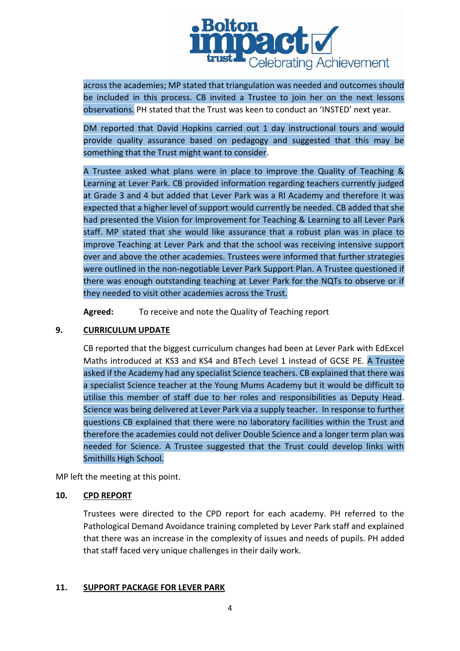

across the academies; MP stated that triangulation was needed and outcomes should be included in this process. CB invited a Trustee to join her on the next lessons observations. PH stated that the Trust was keen to conduct an 'INSTED' next year.

DM reported that David Hopkins carried out 1 day instructional tours and would provide quality assurance based on pedagogy and suggested that this may be something that the Trust might want to consider.

A Trustee asked what plans were in place to improve the Quality of Teaching & Learning at Lever Park. CB provided information regarding teachers currently judged at Grade 3 and 4 but added that Lever Park was a RI Academy and therefore it was expected that a higher level of support would currently be needed. CB added that she had presented the Vision for Improvement for Teaching & Learning to all Lever Park staff. MP stated that she would like assurance that a robust plan was in place to improve Teaching at Lever Park and that the school was receiving intensive support over and above the other academies. Trustees were informed that further strategies were outlined in the non-negotiable Lever Park Support Plan. A Trustee questioned if there was enough outstanding teaching at Lever Park for the NQTs to observe or if they needed to visit other academies across the Trust.

**Agreed:** To receive and note the Quality of Teaching report

# **9. CURRICULUM UPDATE**

CB reported that the biggest curriculum changes had been at Lever Park with EdExcel Maths introduced at KS3 and KS4 and BTech Level 1 instead of GCSE PE. A Trustee asked if the Academy had any specialist Science teachers. CB explained that there was a specialist Science teacher at the Young Mums Academy but it would be difficult to utilise this member of staff due to her roles and responsibilities as Deputy Head. Science was being delivered at Lever Park via a supply teacher. In response to further questions CB explained that there were no laboratory facilities within the Trust and therefore the academies could not deliver Double Science and a longer term plan was needed for Science. A Trustee suggested that the Trust could develop links with Smithills High School.

MP left the meeting at this point.

## **10. CPD REPORT**

Trustees were directed to the CPD report for each academy. PH referred to the Pathological Demand Avoidance training completed by Lever Park staff and explained that there was an increase in the complexity of issues and needs of pupils. PH added that staff faced very unique challenges in their daily work.

# **11. SUPPORT PACKAGE FOR LEVER PARK**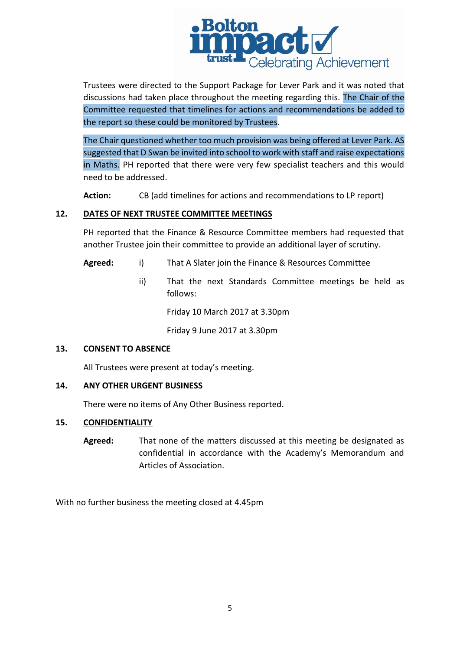

Trustees were directed to the Support Package for Lever Park and it was noted that discussions had taken place throughout the meeting regarding this. The Chair of the Committee requested that timelines for actions and recommendations be added to the report so these could be monitored by Trustees.

The Chair questioned whether too much provision was being offered at Lever Park. AS suggested that D Swan be invited into school to work with staff and raise expectations in Maths. PH reported that there were very few specialist teachers and this would need to be addressed.

**Action:** CB (add timelines for actions and recommendations to LP report)

## **12. DATES OF NEXT TRUSTEE COMMITTEE MEETINGS**

PH reported that the Finance & Resource Committee members had requested that another Trustee join their committee to provide an additional layer of scrutiny.

- **Agreed:** i) That A Slater join the Finance & Resources Committee
	- ii) That the next Standards Committee meetings be held as follows:

Friday 10 March 2017 at 3.30pm

Friday 9 June 2017 at 3.30pm

## **13. CONSENT TO ABSENCE**

All Trustees were present at today's meeting.

## **14. ANY OTHER URGENT BUSINESS**

There were no items of Any Other Business reported.

## **15. CONFIDENTIALITY**

**Agreed:** That none of the matters discussed at this meeting be designated as confidential in accordance with the Academy's Memorandum and Articles of Association.

With no further business the meeting closed at 4.45pm